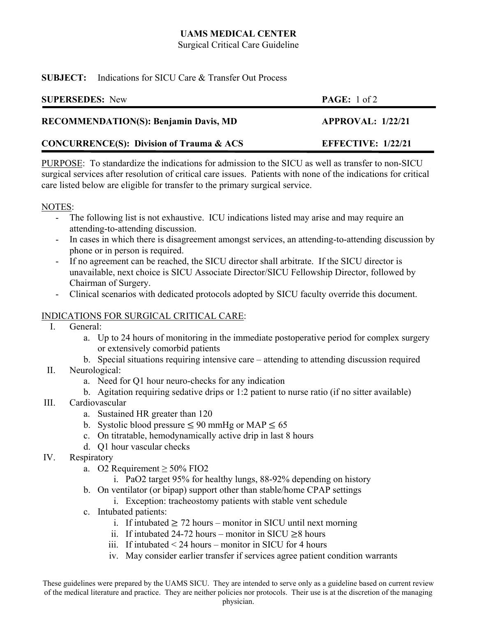# **UAMS MEDICAL CENTER**

Surgical Critical Care Guideline

### **SUBJECT:** Indications for SICU Care & Transfer Out Process

| <b>SUPERSEDES:</b> New                              | <b>PAGE:</b> $1 \text{ of } 2$ |
|-----------------------------------------------------|--------------------------------|
| <b>RECOMMENDATION(S): Benjamin Davis, MD</b>        | APPROVAL: 1/22/21              |
| <b>CONCURRENCE(S): Division of Trauma &amp; ACS</b> | <b>EFFECTIVE: 1/22/21</b>      |

PURPOSE: To standardize the indications for admission to the SICU as well as transfer to non-SICU surgical services after resolution of critical care issues. Patients with none of the indications for critical care listed below are eligible for transfer to the primary surgical service.

### NOTES:

- The following list is not exhaustive. ICU indications listed may arise and may require an attending-to-attending discussion.
- In cases in which there is disagreement amongst services, an attending-to-attending discussion by phone or in person is required.
- If no agreement can be reached, the SICU director shall arbitrate. If the SICU director is unavailable, next choice is SICU Associate Director/SICU Fellowship Director, followed by Chairman of Surgery.
- Clinical scenarios with dedicated protocols adopted by SICU faculty override this document.

## INDICATIONS FOR SURGICAL CRITICAL CARE:

- I. General:
	- a. Up to 24 hours of monitoring in the immediate postoperative period for complex surgery or extensively comorbid patients
	- b. Special situations requiring intensive care attending to attending discussion required
- II. Neurological:
	- a. Need for Q1 hour neuro-checks for any indication
	- b. Agitation requiring sedative drips or 1:2 patient to nurse ratio (if no sitter available)
- III. Cardiovascular
	- a. Sustained HR greater than 120
	- b. Systolic blood pressure  $\leq 90$  mmHg or MAP  $\leq 65$
	- c. On titratable, hemodynamically active drip in last 8 hours
	- d. Q1 hour vascular checks
- IV. Respiratory
	- a. O2 Requirement  $\geq$  50% FIO2
		- i. PaO2 target 95% for healthy lungs, 88-92% depending on history
	- b. On ventilator (or bipap) support other than stable/home CPAP settings
		- i. Exception: tracheostomy patients with stable vent schedule
	- c. Intubated patients:
		- i. If intubated  $\geq$  72 hours monitor in SICU until next morning
		- ii. If intubated 24-72 hours monitor in SICU  $\geq$ 8 hours
		- iii. If intubated < 24 hours monitor in SICU for 4 hours
		- iv. May consider earlier transfer if services agree patient condition warrants